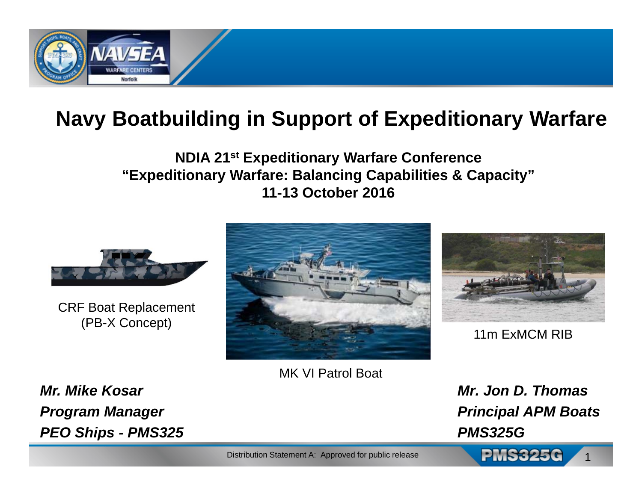

## **Navy Boatbuilding in Support of Expeditionary Warfare**

### **NDIA 21st Expeditionary Warfare Conference "Expeditionary Warfare: Balancing Capabilities & Capacity" 11-13 October 2016**



CRF Boat Replacement (PB-X Concept)



MK VI Patrol Boat



11m ExMCM RIB

*Mr. Jon D. ThomasPrincipal APM Boats PMS325G*

1

*Mr. Mike KosarProgram Manager PEO Ships - PMS325*

Distribution Statement A: Approved for public release **PMS325C**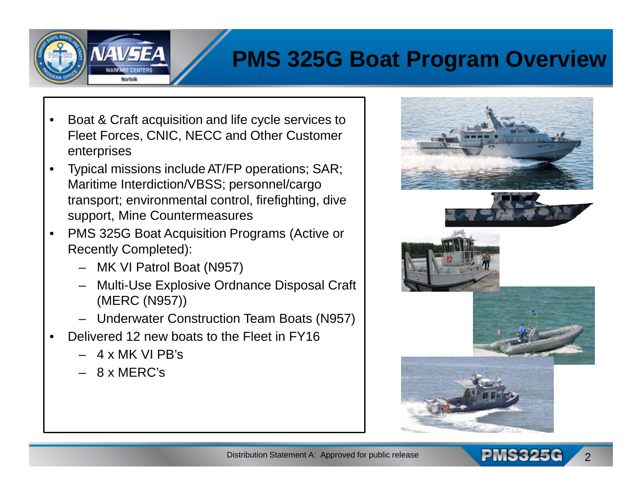## **PMS 325G Boat Program Overview**

- • Boat & Craft acquisition and life cycle services to Fleet Forces, CNIC, NECC and Other Customer enterprises
- $\bullet$  Typical missions include AT/FP operations; SAR; Maritime Interdiction/VBSS; personnel/cargo transport; environmental control, firefighting, dive support, Mine Countermeasures
- • PMS 325G Boat Acquisition Programs (Active or Recently Completed):
	- MK VI Patrol Boat (N957)
	- Multi-Use Explosive Ordnance Disposal Craft (MERC (N957))
	- Underwater Construction Team Boats (N957)
- • Delivered 12 new boats to the Fleet in FY16
	- 4 x MK VI PB's
	- 8 x MERC's



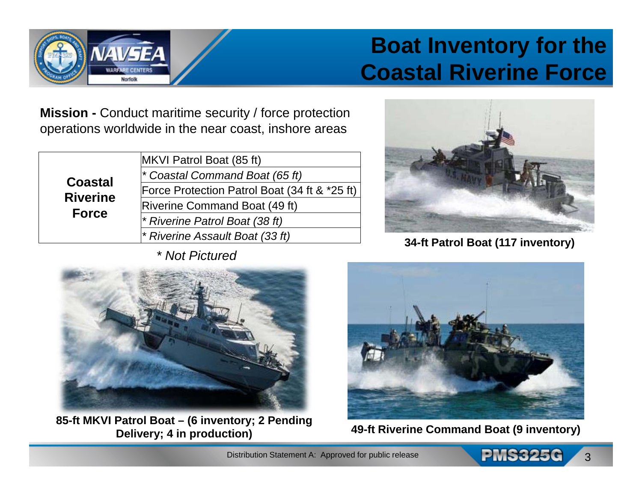## **Boat Inventory for the Coastal Riverine Force**

**Mission -** Conduct maritime security / force protection operations worldwide in the near coast, inshore areas

| <b>Coastal</b><br><b>Riverine</b><br><b>Force</b> | MKVI Patrol Boat (85 ft)                      |
|---------------------------------------------------|-----------------------------------------------|
|                                                   | * Coastal Command Boat (65 ft)                |
|                                                   | Force Protection Patrol Boat (34 ft & *25 ft) |
|                                                   | <b>Riverine Command Boat (49 ft)</b>          |
|                                                   | * Riverine Patrol Boat (38 ft)                |
|                                                   | * Riverine Assault Boat (33 ft)               |

*\* Not Pictured*



**34-ft Patrol Boat (117 inventory)**



**85-ft MKVI Patrol Boat – (6 inventory; 2 Pending Delivery; 4 in production) 49-ft Riverine Command Boat (9 inventory)**



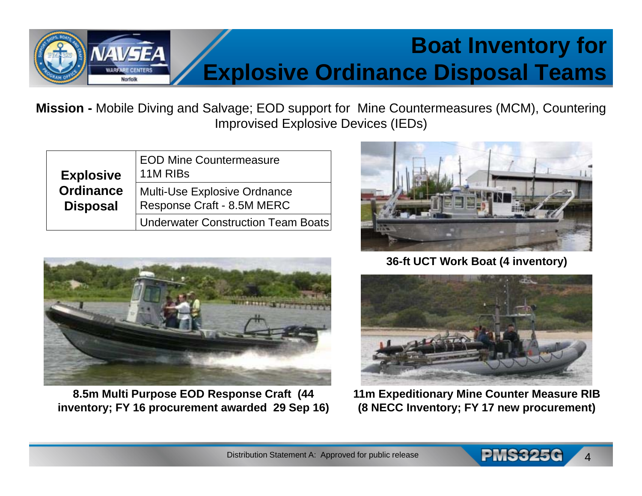# **Boat Inventory for Explosive Ordinance Disposal Teams**

**Mission -** Mobile Diving and Salvage; EOD support for Mine Countermeasures (MCM), Countering Improvised Explosive Devices (IEDs)

| <b>Explosive</b>                    | <b>EOD Mine Countermeasure</b><br>11M RIBs                        |
|-------------------------------------|-------------------------------------------------------------------|
| <b>Ordinance</b><br><b>Disposal</b> | <b>Multi-Use Explosive Ordnance</b><br>Response Craft - 8.5M MERC |
|                                     | <b>Underwater Construction Team Boats</b>                         |



**8.5m Multi Purpose EOD Response Craft (44 inventory; FY 16 procurement awarded 29 Sep 16)**



**36-ft UCT Work Boat (4 inventory)**



**11m Expeditionary Mine Counter Measure RIB (8 NECC Inventory; FY 17 new procurement)**

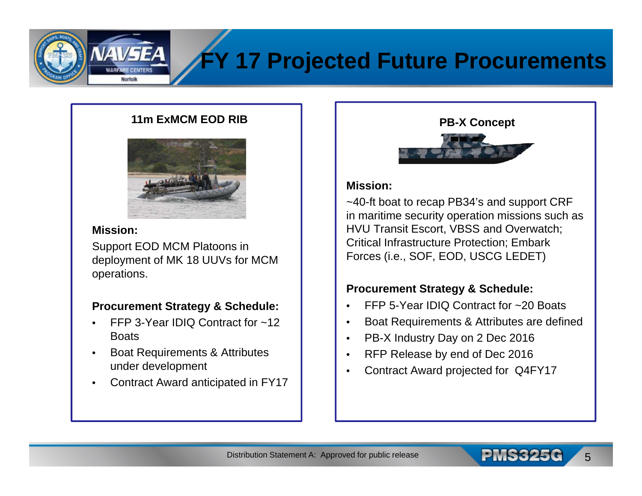# **FY 17 Projected Future Procurements**

#### **11m ExMCM EOD RIB**



#### **Mission:**

Support EOD MCM Platoons in deployment of MK 18 UUVs for MCM operations.

#### **Procurement Strategy & Schedule:**

- • FFP 3-Year IDIQ Contract for ~12 **Boats**
- • Boat Requirements & Attributes under development
- •Contract Award anticipated in FY17



#### **Mission:**

~40-ft boat to recap PB34's and support CRF in maritime security operation missions such as HVU Transit Escort, VBSS and Overwatch; Critical Infrastructure Protection; Embark Forces (i.e., SOF, EOD, USCG LEDET)

#### **Procurement Strategy & Schedule:**

- •FFP 5-Year IDIQ Contract for ~20 Boats
- •Boat Requirements & Attributes are defined
- •PB-X Industry Day on 2 Dec 2016
- •RFP Release by end of Dec 2016
- •Contract Award projected for Q4FY17

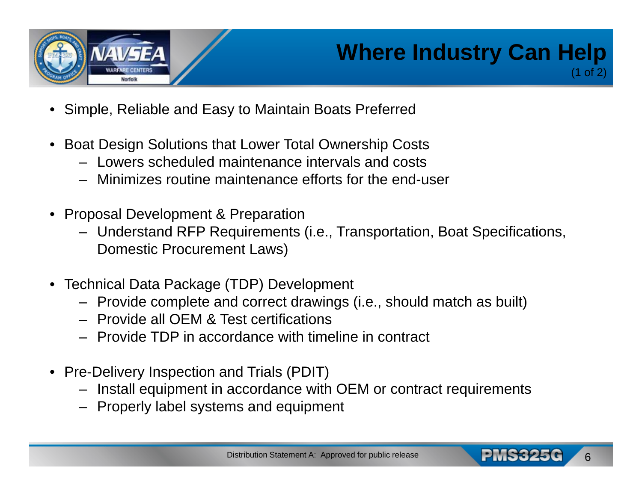

## **Where Industry Can Help** (1 of 2)

- •Simple, Reliable and Easy to Maintain Boats Preferred
- Boat Design Solutions that Lower Total Ownership Costs
	- Lowers scheduled maintenance intervals and costs
	- Minimizes routine maintenance efforts for the end-user
- • Proposal Development & Preparation
	- Understand RFP Requirements (i.e., Transportation, Boat Specifications, Domestic Procurement Laws)
- Technical Data Package (TDP) Development
	- Provide complete and correct drawings (i.e., should match as built)
	- Provide all OEM & Test certifications
	- Provide TDP in accordance with timeline in contract
- Pre-Delivery Inspection and Trials (PDIT)
	- Install equipment in accordance with OEM or contract requirements
	- Properly label systems and equipment

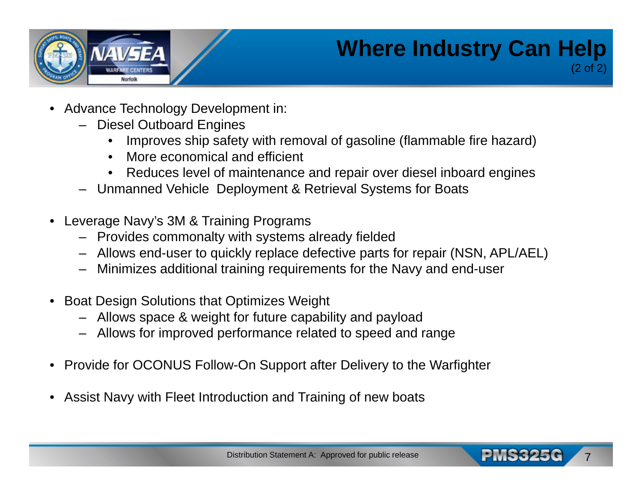

## **Where Industry Can Help** (2 of 2)

7

- • Advance Technology Development in:
	- Diesel Outboard Engines
		- •Improves ship safety with removal of gasoline (flammable fire hazard)
		- •More economical and efficient
		- •Reduces level of maintenance and repair over diesel inboard engines
	- Unmanned Vehicle Deployment & Retrieval Systems for Boats
- • Leverage Navy's 3M & Training Programs
	- Provides commonalty with systems already fielded
	- Allows end-user to quickly replace defective parts for repair (NSN, APL/AEL)
	- Minimizes additional training requirements for the Navy and end-user
- Boat Design Solutions that Optimizes Weight
	- Allows space & weight for future capability and payload
	- Allows for improved performance related to speed and range
- $\bullet$ Provide for OCONUS Follow-On Support after Delivery to the Warfighter
- $\bullet$ Assist Navy with Fleet Introduction and Training of new boats